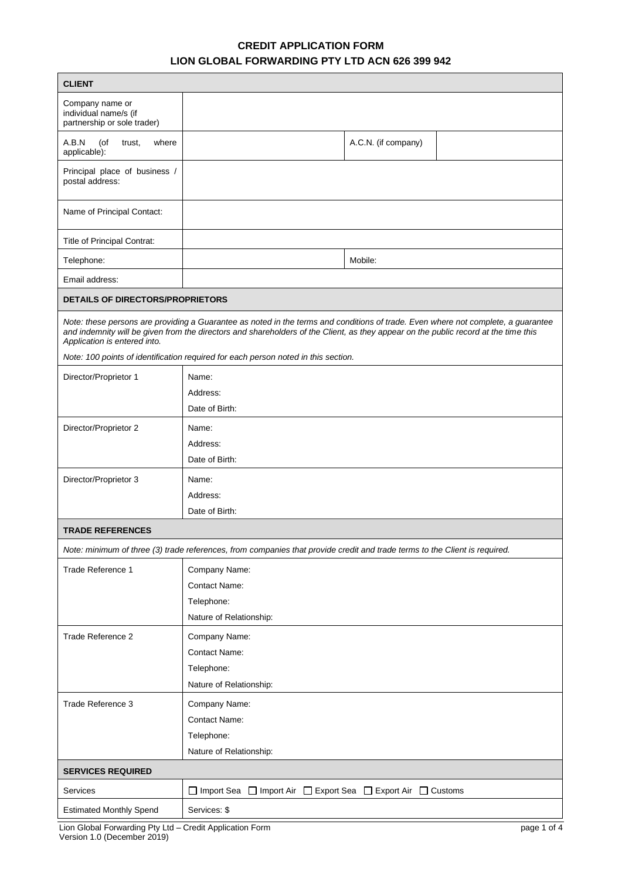# **CREDIT APPLICATION FORM LION GLOBAL FORWARDING PTY LTD ACN 626 399 942**

| <b>CLIENT</b>                                                                                                                                                                                                                                                                                            |                                                                                                                            |                     |  |  |
|----------------------------------------------------------------------------------------------------------------------------------------------------------------------------------------------------------------------------------------------------------------------------------------------------------|----------------------------------------------------------------------------------------------------------------------------|---------------------|--|--|
| Company name or<br>individual name/s (if<br>partnership or sole trader)                                                                                                                                                                                                                                  |                                                                                                                            |                     |  |  |
| A.B.N<br>(of<br>trust,<br>where<br>applicable):                                                                                                                                                                                                                                                          |                                                                                                                            | A.C.N. (if company) |  |  |
| Principal place of business /<br>postal address:                                                                                                                                                                                                                                                         |                                                                                                                            |                     |  |  |
| Name of Principal Contact:                                                                                                                                                                                                                                                                               |                                                                                                                            |                     |  |  |
| Title of Principal Contrat:                                                                                                                                                                                                                                                                              |                                                                                                                            |                     |  |  |
| Telephone:                                                                                                                                                                                                                                                                                               |                                                                                                                            | Mobile:             |  |  |
| Email address:                                                                                                                                                                                                                                                                                           |                                                                                                                            |                     |  |  |
| <b>DETAILS OF DIRECTORS/PROPRIETORS</b>                                                                                                                                                                                                                                                                  |                                                                                                                            |                     |  |  |
| Note: these persons are providing a Guarantee as noted in the terms and conditions of trade. Even where not complete, a guarantee<br>and indemnity will be given from the directors and shareholders of the Client, as they appear on the public record at the time this<br>Application is entered into. |                                                                                                                            |                     |  |  |
|                                                                                                                                                                                                                                                                                                          | Note: 100 points of identification required for each person noted in this section.                                         |                     |  |  |
| Director/Proprietor 1                                                                                                                                                                                                                                                                                    | Name:                                                                                                                      |                     |  |  |
|                                                                                                                                                                                                                                                                                                          | Address:                                                                                                                   |                     |  |  |
|                                                                                                                                                                                                                                                                                                          | Date of Birth:                                                                                                             |                     |  |  |
| Director/Proprietor 2                                                                                                                                                                                                                                                                                    | Name:                                                                                                                      |                     |  |  |
|                                                                                                                                                                                                                                                                                                          | Address:                                                                                                                   |                     |  |  |
|                                                                                                                                                                                                                                                                                                          | Date of Birth:                                                                                                             |                     |  |  |
| Director/Proprietor 3                                                                                                                                                                                                                                                                                    | Name:                                                                                                                      |                     |  |  |
|                                                                                                                                                                                                                                                                                                          | Address:<br>Date of Birth:                                                                                                 |                     |  |  |
|                                                                                                                                                                                                                                                                                                          |                                                                                                                            |                     |  |  |
| <b>TRADE REFERENCES</b>                                                                                                                                                                                                                                                                                  |                                                                                                                            |                     |  |  |
|                                                                                                                                                                                                                                                                                                          | Note: minimum of three (3) trade references, from companies that provide credit and trade terms to the Client is required. |                     |  |  |
| Trade Reference 1                                                                                                                                                                                                                                                                                        | Company Name:                                                                                                              |                     |  |  |
|                                                                                                                                                                                                                                                                                                          | <b>Contact Name:</b>                                                                                                       |                     |  |  |
|                                                                                                                                                                                                                                                                                                          | Telephone:                                                                                                                 |                     |  |  |
|                                                                                                                                                                                                                                                                                                          | Nature of Relationship:                                                                                                    |                     |  |  |
| Trade Reference 2                                                                                                                                                                                                                                                                                        | Company Name:                                                                                                              |                     |  |  |
|                                                                                                                                                                                                                                                                                                          | Contact Name:                                                                                                              |                     |  |  |
|                                                                                                                                                                                                                                                                                                          | Telephone:                                                                                                                 |                     |  |  |
|                                                                                                                                                                                                                                                                                                          | Nature of Relationship:                                                                                                    |                     |  |  |
| Trade Reference 3                                                                                                                                                                                                                                                                                        | Company Name:                                                                                                              |                     |  |  |
|                                                                                                                                                                                                                                                                                                          | <b>Contact Name:</b>                                                                                                       |                     |  |  |
|                                                                                                                                                                                                                                                                                                          | Telephone:                                                                                                                 |                     |  |  |
|                                                                                                                                                                                                                                                                                                          | Nature of Relationship:                                                                                                    |                     |  |  |
| <b>SERVICES REQUIRED</b>                                                                                                                                                                                                                                                                                 |                                                                                                                            |                     |  |  |
| Services                                                                                                                                                                                                                                                                                                 | □ Import Sea □ Import Air □ Export Sea □ Export Air □ Customs                                                              |                     |  |  |
| <b>Estimated Monthly Spend</b>                                                                                                                                                                                                                                                                           | Services: \$                                                                                                               |                     |  |  |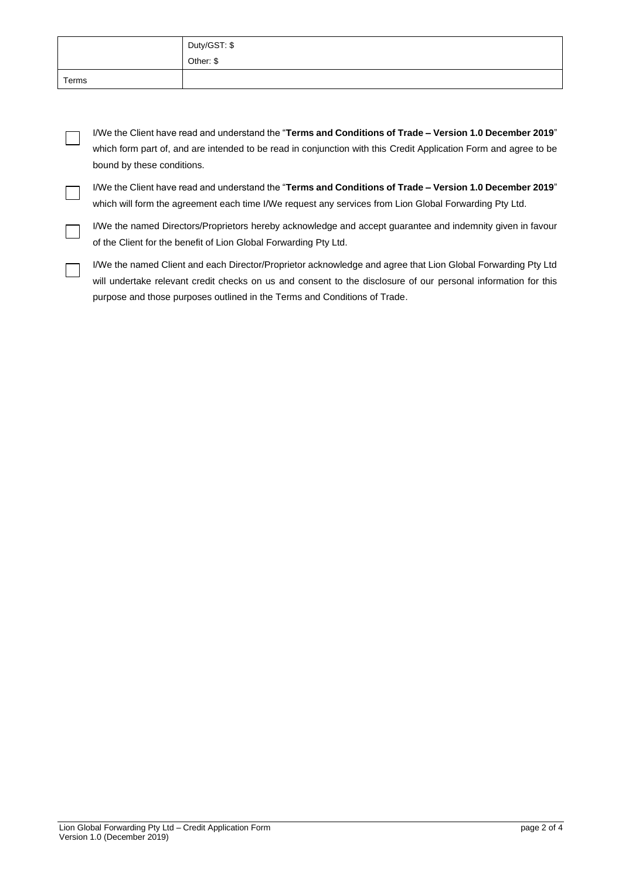|       | Duty/GST: \$ |
|-------|--------------|
|       | Other: \$    |
| Terms |              |

I/We the Client have read and understand the "**Terms and Conditions of Trade – Version 1.0 December 2019**" which form part of, and are intended to be read in conjunction with this Credit Application Form and agree to be bound by these conditions.

I/We the Client have read and understand the "**Terms and Conditions of Trade – Version 1.0 December 2019**" which will form the agreement each time I/We request any services from Lion Global Forwarding Pty Ltd.

I/We the named Directors/Proprietors hereby acknowledge and accept guarantee and indemnity given in favour of the Client for the benefit of Lion Global Forwarding Pty Ltd.

I/We the named Client and each Director/Proprietor acknowledge and agree that Lion Global Forwarding Pty Ltd will undertake relevant credit checks on us and consent to the disclosure of our personal information for this purpose and those purposes outlined in the Terms and Conditions of Trade.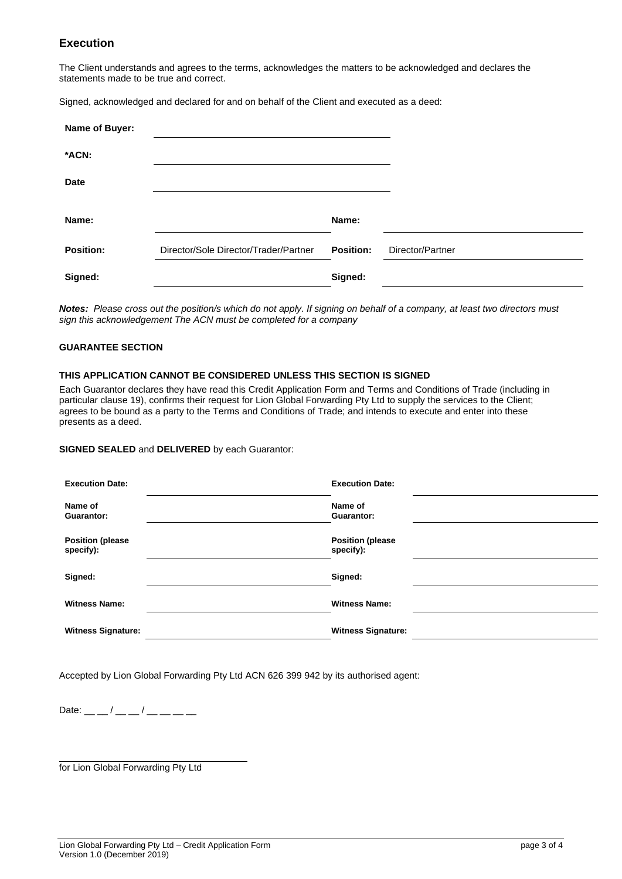# **Execution**

The Client understands and agrees to the terms, acknowledges the matters to be acknowledged and declares the statements made to be true and correct.

Signed, acknowledged and declared for and on behalf of the Client and executed as a deed:

| Name of Buyer:   |                                       |                  |                  |
|------------------|---------------------------------------|------------------|------------------|
| *ACN:            |                                       |                  |                  |
| <b>Date</b>      |                                       |                  |                  |
| Name:            |                                       | Name:            |                  |
|                  |                                       |                  |                  |
| <b>Position:</b> | Director/Sole Director/Trader/Partner | <b>Position:</b> | Director/Partner |
| Signed:          |                                       | Signed:          |                  |

*Notes: Please cross out the position/s which do not apply. If signing on behalf of a company, at least two directors must sign this acknowledgement The ACN must be completed for a company*

## **GUARANTEE SECTION**

### **THIS APPLICATION CANNOT BE CONSIDERED UNLESS THIS SECTION IS SIGNED**

Each Guarantor declares they have read this Credit Application Form and Terms and Conditions of Trade (including in particular clause 19), confirms their request for Lion Global Forwarding Pty Ltd to supply the services to the Client; agrees to be bound as a party to the Terms and Conditions of Trade; and intends to execute and enter into these presents as a deed.

### **SIGNED SEALED** and **DELIVERED** by each Guarantor:

| <b>Execution Date:</b>               | <b>Execution Date:</b>               |  |
|--------------------------------------|--------------------------------------|--|
| Name of<br><b>Guarantor:</b>         | Name of<br><b>Guarantor:</b>         |  |
| <b>Position (please</b><br>specify): | <b>Position (please</b><br>specify): |  |
| Signed:                              | Signed:                              |  |
| <b>Witness Name:</b>                 | <b>Witness Name:</b>                 |  |
| <b>Witness Signature:</b>            | <b>Witness Signature:</b>            |  |

Accepted by Lion Global Forwarding Pty Ltd ACN 626 399 942 by its authorised agent:

Date: \_\_ \_ / \_\_ \_ / \_\_ \_ \_ \_ \_

for Lion Global Forwarding Pty Ltd